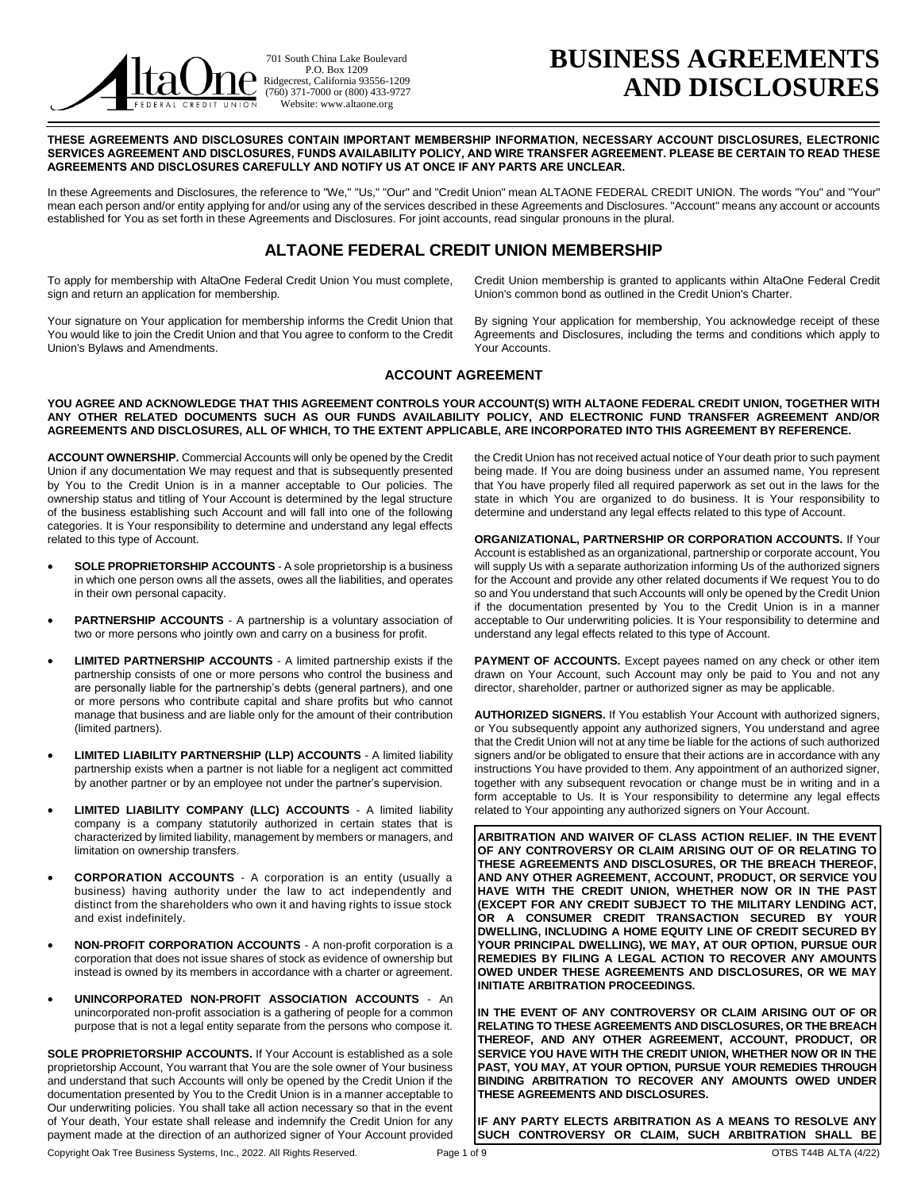

701 South China Lake Boulevard P.O. Box 1209 Ridgecrest, California 93556-1209 (760) 371-7000 or (800) 433-9727 Website: www.altaone.org

# **BUSINESS AGREEMENTS AND DISCLOSURES**

**THESE AGREEMENTS AND DISCLOSURES CONTAIN IMPORTANT MEMBERSHIP INFORMATION, NECESSARY ACCOUNT DISCLOSURES, ELECTRONIC SERVICES AGREEMENT AND DISCLOSURES, FUNDS AVAILABILITY POLICY, AND WIRE TRANSFER AGREEMENT. PLEASE BE CERTAIN TO READ THESE AGREEMENTS AND DISCLOSURES CAREFULLY AND NOTIFY US AT ONCE IF ANY PARTS ARE UNCLEAR.** 

In these Agreements and Disclosures, the reference to "We," "Us," "Our" and "Credit Union" mean ALTAONE FEDERAL CREDIT UNION. The words "You" and "Your" mean each person and/or entity applying for and/or using any of the services described in these Agreements and Disclosures. "Account" means any account or accounts established for You as set forth in these Agreements and Disclosures. For joint accounts, read singular pronouns in the plural.

# **ALTAONE FEDERAL CREDIT UNION MEMBERSHIP**

To apply for membership with AltaOne Federal Credit Union You must complete, sign and return an application for membership.

Your signature on Your application for membership informs the Credit Union that You would like to join the Credit Union and that You agree to conform to the Credit Union's Bylaws and Amendments.

Credit Union membership is granted to applicants within AltaOne Federal Credit Union's common bond as outlined in the Credit Union's Charter.

By signing Your application for membership, You acknowledge receipt of these Agreements and Disclosures, including the terms and conditions which apply to Your Accounts.

# **ACCOUNT AGREEMENT**

**YOU AGREE AND ACKNOWLEDGE THAT THIS AGREEMENT CONTROLS YOUR ACCOUNT(S) WITH ALTAONE FEDERAL CREDIT UNION, TOGETHER WITH ANY OTHER RELATED DOCUMENTS SUCH AS OUR FUNDS AVAILABILITY POLICY, AND ELECTRONIC FUND TRANSFER AGREEMENT AND/OR AGREEMENTS AND DISCLOSURES, ALL OF WHICH, TO THE EXTENT APPLICABLE, ARE INCORPORATED INTO THIS AGREEMENT BY REFERENCE.** 

**ACCOUNT OWNERSHIP.** Commercial Accounts will only be opened by the Credit Union if any documentation We may request and that is subsequently presented by You to the Credit Union is in a manner acceptable to Our policies. The ownership status and titling of Your Account is determined by the legal structure of the business establishing such Account and will fall into one of the following categories. It is Your responsibility to determine and understand any legal effects related to this type of Account.

- **SOLE PROPRIETORSHIP ACCOUNTS** A sole proprietorship is a business in which one person owns all the assets, owes all the liabilities, and operates in their own personal capacity.
- **PARTNERSHIP ACCOUNTS** A partnership is a voluntary association of two or more persons who jointly own and carry on a business for profit.
- **LIMITED PARTNERSHIP ACCOUNTS** A limited partnership exists if the partnership consists of one or more persons who control the business and are personally liable for the partnership's debts (general partners), and one or more persons who contribute capital and share profits but who cannot manage that business and are liable only for the amount of their contribution (limited partners).
- **LIMITED LIABILITY PARTNERSHIP (LLP) ACCOUNTS** A limited liability partnership exists when a partner is not liable for a negligent act committed by another partner or by an employee not under the partner's supervision.
- **LIMITED LIABILITY COMPANY (LLC) ACCOUNTS**  A limited liability company is a company statutorily authorized in certain states that is characterized by limited liability, management by members or managers, and limitation on ownership transfers.
- **CORPORATION ACCOUNTS** A corporation is an entity (usually a business) having authority under the law to act independently and distinct from the shareholders who own it and having rights to issue stock and exist indefinitely.
- **NON-PROFIT CORPORATION ACCOUNTS**  A non-profit corporation is a corporation that does not issue shares of stock as evidence of ownership but instead is owned by its members in accordance with a charter or agreement.
- **UNINCORPORATED NON-PROFIT ASSOCIATION ACCOUNTS** An unincorporated non-profit association is a gathering of people for a common purpose that is not a legal entity separate from the persons who compose it.

Copyright Oak Tree Business Systems, Inc., 2022. All Rights Reserved. Page 1 of 9 Page 1 of 9 OTBS T44B ALTA (4/22) **SOLE PROPRIETORSHIP ACCOUNTS.** If Your Account is established as a sole proprietorship Account, You warrant that You are the sole owner of Your business and understand that such Accounts will only be opened by the Credit Union if the documentation presented by You to the Credit Union is in a manner acceptable to Our underwriting policies. You shall take all action necessary so that in the event of Your death, Your estate shall release and indemnify the Credit Union for any payment made at the direction of an authorized signer of Your Account provided

the Credit Union has not received actual notice of Your death prior to such payment being made. If You are doing business under an assumed name, You represent that You have properly filed all required paperwork as set out in the laws for the state in which You are organized to do business. It is Your responsibility to determine and understand any legal effects related to this type of Account.

**ORGANIZATIONAL, PARTNERSHIP OR CORPORATION ACCOUNTS.** If Your Account is established as an organizational, partnership or corporate account, You will supply Us with a separate authorization informing Us of the authorized signers for the Account and provide any other related documents if We request You to do so and You understand that such Accounts will only be opened by the Credit Union if the documentation presented by You to the Credit Union is in a manner acceptable to Our underwriting policies. It is Your responsibility to determine and understand any legal effects related to this type of Account.

PAYMENT OF ACCOUNTS. Except payees named on any check or other item drawn on Your Account, such Account may only be paid to You and not any director, shareholder, partner or authorized signer as may be applicable.

**AUTHORIZED SIGNERS.** If You establish Your Account with authorized signers, or You subsequently appoint any authorized signers, You understand and agree that the Credit Union will not at any time be liable for the actions of such authorized signers and/or be obligated to ensure that their actions are in accordance with any instructions You have provided to them. Any appointment of an authorized signer, together with any subsequent revocation or change must be in writing and in a form acceptable to Us. It is Your responsibility to determine any legal effects related to Your appointing any authorized signers on Your Account.

**ARBITRATION AND WAIVER OF CLASS ACTION RELIEF. IN THE EVENT OF ANY CONTROVERSY OR CLAIM ARISING OUT OF OR RELATING TO THESE AGREEMENTS AND DISCLOSURES, OR THE BREACH THEREOF, AND ANY OTHER AGREEMENT, ACCOUNT, PRODUCT, OR SERVICE YOU HAVE WITH THE CREDIT UNION, WHETHER NOW OR IN THE PAST (EXCEPT FOR ANY CREDIT SUBJECT TO THE MILITARY LENDING ACT, OR A CONSUMER CREDIT TRANSACTION SECURED BY YOUR DWELLING, INCLUDING A HOME EQUITY LINE OF CREDIT SECURED BY YOUR PRINCIPAL DWELLING), WE MAY, AT OUR OPTION, PURSUE OUR REMEDIES BY FILING A LEGAL ACTION TO RECOVER ANY AMOUNTS OWED UNDER THESE AGREEMENTS AND DISCLOSURES, OR WE MAY INITIATE ARBITRATION PROCEEDINGS.** 

**IN THE EVENT OF ANY CONTROVERSY OR CLAIM ARISING OUT OF OR RELATING TO THESE AGREEMENTS AND DISCLOSURES, OR THE BREACH THEREOF, AND ANY OTHER AGREEMENT, ACCOUNT, PRODUCT, OR SERVICE YOU HAVE WITH THE CREDIT UNION, WHETHER NOW OR IN THE PAST, YOU MAY, AT YOUR OPTION, PURSUE YOUR REMEDIES THROUGH BINDING ARBITRATION TO RECOVER ANY AMOUNTS OWED UNDER THESE AGREEMENTS AND DISCLOSURES.** 

**IF ANY PARTY ELECTS ARBITRATION AS A MEANS TO RESOLVE ANY SUCH CONTROVERSY OR CLAIM, SUCH ARBITRATION SHALL BE**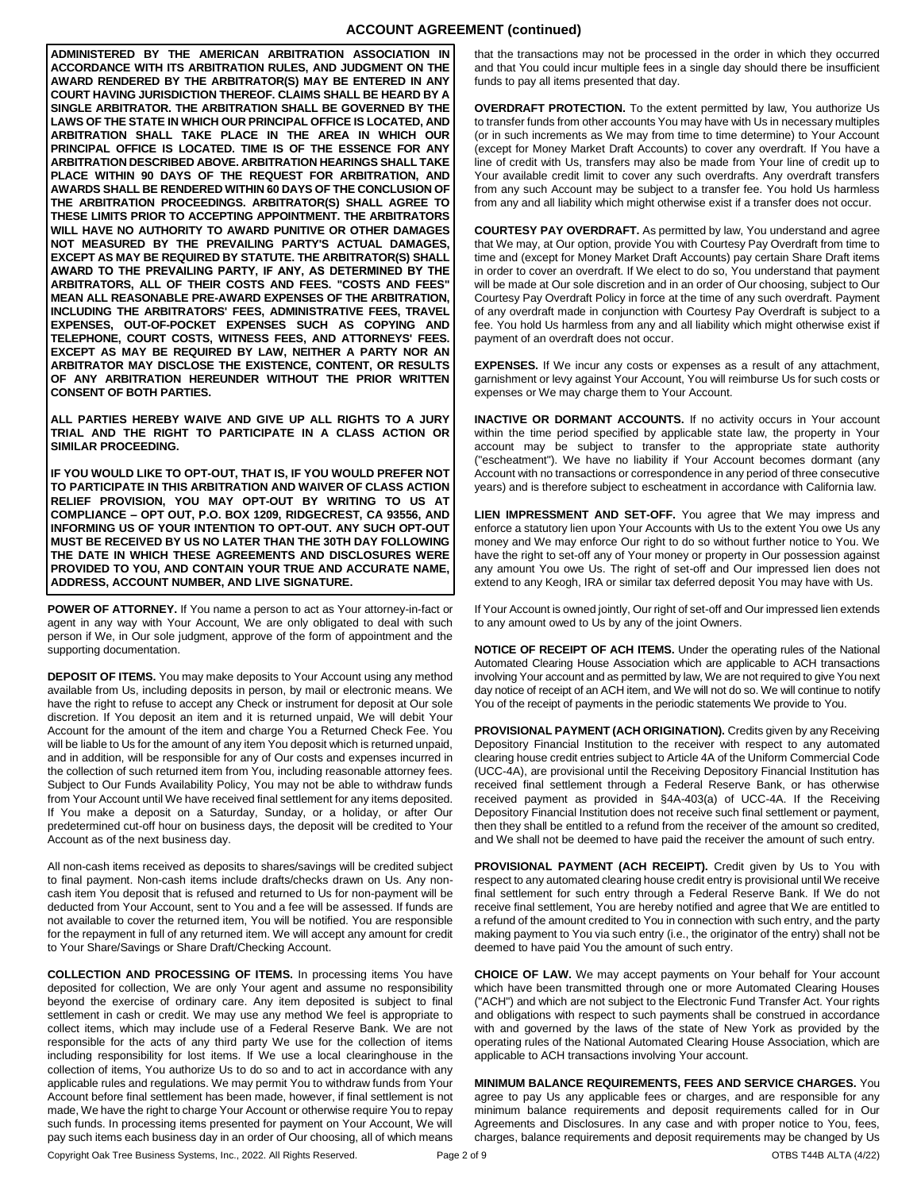# **ACCOUNT AGREEMENT (continued)**

**ADMINISTERED BY THE AMERICAN ARBITRATION ASSOCIATION IN ACCORDANCE WITH ITS ARBITRATION RULES, AND JUDGMENT ON THE AWARD RENDERED BY THE ARBITRATOR(S) MAY BE ENTERED IN ANY COURT HAVING JURISDICTION THEREOF. CLAIMS SHALL BE HEARD BY A SINGLE ARBITRATOR. THE ARBITRATION SHALL BE GOVERNED BY THE LAWS OF THE STATE IN WHICH OUR PRINCIPAL OFFICE IS LOCATED, AND ARBITRATION SHALL TAKE PLACE IN THE AREA IN WHICH OUR PRINCIPAL OFFICE IS LOCATED. TIME IS OF THE ESSENCE FOR ANY ARBITRATION DESCRIBED ABOVE. ARBITRATION HEARINGS SHALL TAKE PLACE WITHIN 90 DAYS OF THE REQUEST FOR ARBITRATION, AND AWARDS SHALL BE RENDERED WITHIN 60 DAYS OF THE CONCLUSION OF THE ARBITRATION PROCEEDINGS. ARBITRATOR(S) SHALL AGREE TO THESE LIMITS PRIOR TO ACCEPTING APPOINTMENT. THE ARBITRATORS WILL HAVE NO AUTHORITY TO AWARD PUNITIVE OR OTHER DAMAGES NOT MEASURED BY THE PREVAILING PARTY'S ACTUAL DAMAGES, EXCEPT AS MAY BE REQUIRED BY STATUTE. THE ARBITRATOR(S) SHALL AWARD TO THE PREVAILING PARTY, IF ANY, AS DETERMINED BY THE ARBITRATORS, ALL OF THEIR COSTS AND FEES. "COSTS AND FEES" MEAN ALL REASONABLE PRE-AWARD EXPENSES OF THE ARBITRATION, INCLUDING THE ARBITRATORS' FEES, ADMINISTRATIVE FEES, TRAVEL EXPENSES, OUT-OF-POCKET EXPENSES SUCH AS COPYING AND TELEPHONE, COURT COSTS, WITNESS FEES, AND ATTORNEYS' FEES. EXCEPT AS MAY BE REQUIRED BY LAW, NEITHER A PARTY NOR AN ARBITRATOR MAY DISCLOSE THE EXISTENCE, CONTENT, OR RESULTS OF ANY ARBITRATION HEREUNDER WITHOUT THE PRIOR WRITTEN CONSENT OF BOTH PARTIES.** 

**ALL PARTIES HEREBY WAIVE AND GIVE UP ALL RIGHTS TO A JURY TRIAL AND THE RIGHT TO PARTICIPATE IN A CLASS ACTION OR SIMILAR PROCEEDING.** 

**IF YOU WOULD LIKE TO OPT-OUT, THAT IS, IF YOU WOULD PREFER NOT TO PARTICIPATE IN THIS ARBITRATION AND WAIVER OF CLASS ACTION RELIEF PROVISION, YOU MAY OPT-OUT BY WRITING TO US AT COMPLIANCE – OPT OUT, P.O. BOX 1209, RIDGECREST, CA 93556, AND INFORMING US OF YOUR INTENTION TO OPT-OUT. ANY SUCH OPT-OUT MUST BE RECEIVED BY US NO LATER THAN THE 30TH DAY FOLLOWING THE DATE IN WHICH THESE AGREEMENTS AND DISCLOSURES WERE PROVIDED TO YOU, AND CONTAIN YOUR TRUE AND ACCURATE NAME, ADDRESS, ACCOUNT NUMBER, AND LIVE SIGNATURE.** 

**POWER OF ATTORNEY.** If You name a person to act as Your attorney-in-fact or agent in any way with Your Account, We are only obligated to deal with such person if We, in Our sole judgment, approve of the form of appointment and the supporting documentation.

**DEPOSIT OF ITEMS.** You may make deposits to Your Account using any method available from Us, including deposits in person, by mail or electronic means. We have the right to refuse to accept any Check or instrument for deposit at Our sole discretion. If You deposit an item and it is returned unpaid, We will debit Your Account for the amount of the item and charge You a Returned Check Fee. You will be liable to Us for the amount of any item You deposit which is returned unpaid, and in addition, will be responsible for any of Our costs and expenses incurred in the collection of such returned item from You, including reasonable attorney fees. Subject to Our Funds Availability Policy, You may not be able to withdraw funds from Your Account until We have received final settlement for any items deposited. If You make a deposit on a Saturday, Sunday, or a holiday, or after Our predetermined cut-off hour on business days, the deposit will be credited to Your Account as of the next business day.

All non-cash items received as deposits to shares/savings will be credited subject to final payment. Non-cash items include drafts/checks drawn on Us. Any noncash item You deposit that is refused and returned to Us for non-payment will be deducted from Your Account, sent to You and a fee will be assessed. If funds are not available to cover the returned item, You will be notified. You are responsible for the repayment in full of any returned item. We will accept any amount for credit to Your Share/Savings or Share Draft/Checking Account.

Copyright Oak Tree Business Systems, Inc., 2022. All Rights Reserved. Page 2 of 9 Page 2 of 9 OTBS T44B ALTA (4/22) **COLLECTION AND PROCESSING OF ITEMS.** In processing items You have deposited for collection, We are only Your agent and assume no responsibility beyond the exercise of ordinary care. Any item deposited is subject to final settlement in cash or credit. We may use any method We feel is appropriate to collect items, which may include use of a Federal Reserve Bank. We are not responsible for the acts of any third party We use for the collection of items including responsibility for lost items. If We use a local clearinghouse in the collection of items, You authorize Us to do so and to act in accordance with any applicable rules and regulations. We may permit You to withdraw funds from Your Account before final settlement has been made, however, if final settlement is not made, We have the right to charge Your Account or otherwise require You to repay such funds. In processing items presented for payment on Your Account, We will pay such items each business day in an order of Our choosing, all of which means

that the transactions may not be processed in the order in which they occurred and that You could incur multiple fees in a single day should there be insufficient funds to pay all items presented that day.

**OVERDRAFT PROTECTION.** To the extent permitted by law, You authorize Us to transfer funds from other accounts You may have with Us in necessary multiples (or in such increments as We may from time to time determine) to Your Account (except for Money Market Draft Accounts) to cover any overdraft. If You have a line of credit with Us, transfers may also be made from Your line of credit up to Your available credit limit to cover any such overdrafts. Any overdraft transfers from any such Account may be subject to a transfer fee. You hold Us harmless from any and all liability which might otherwise exist if a transfer does not occur.

**COURTESY PAY OVERDRAFT.** As permitted by law, You understand and agree that We may, at Our option, provide You with Courtesy Pay Overdraft from time to time and (except for Money Market Draft Accounts) pay certain Share Draft items in order to cover an overdraft. If We elect to do so, You understand that payment will be made at Our sole discretion and in an order of Our choosing, subject to Our Courtesy Pay Overdraft Policy in force at the time of any such overdraft. Payment of any overdraft made in conjunction with Courtesy Pay Overdraft is subject to a fee. You hold Us harmless from any and all liability which might otherwise exist if payment of an overdraft does not occur.

**EXPENSES.** If We incur any costs or expenses as a result of any attachment, garnishment or levy against Your Account, You will reimburse Us for such costs or expenses or We may charge them to Your Account.

**INACTIVE OR DORMANT ACCOUNTS.** If no activity occurs in Your account within the time period specified by applicable state law, the property in Your account may be subject to transfer to the appropriate state authority ("escheatment"). We have no liability if Your Account becomes dormant (any Account with no transactions or correspondence in any period of three consecutive years) and is therefore subject to escheatment in accordance with California law.

**LIEN IMPRESSMENT AND SET-OFF.** You agree that We may impress and enforce a statutory lien upon Your Accounts with Us to the extent You owe Us any money and We may enforce Our right to do so without further notice to You. We have the right to set-off any of Your money or property in Our possession against any amount You owe Us. The right of set-off and Our impressed lien does not extend to any Keogh, IRA or similar tax deferred deposit You may have with Us.

If Your Account is owned jointly, Our right of set-off and Our impressed lien extends to any amount owed to Us by any of the joint Owners.

**NOTICE OF RECEIPT OF ACH ITEMS.** Under the operating rules of the National Automated Clearing House Association which are applicable to ACH transactions involving Your account and as permitted by law, We are not required to give You next day notice of receipt of an ACH item, and We will not do so. We will continue to notify You of the receipt of payments in the periodic statements We provide to You.

**PROVISIONAL PAYMENT (ACH ORIGINATION).** Credits given by any Receiving Depository Financial Institution to the receiver with respect to any automated clearing house credit entries subject to Article 4A of the Uniform Commercial Code (UCC-4A), are provisional until the Receiving Depository Financial Institution has received final settlement through a Federal Reserve Bank, or has otherwise received payment as provided in §4A-403(a) of UCC-4A. If the Receiving Depository Financial Institution does not receive such final settlement or payment, then they shall be entitled to a refund from the receiver of the amount so credited, and We shall not be deemed to have paid the receiver the amount of such entry.

PROVISIONAL PAYMENT (ACH RECEIPT). Credit given by Us to You with respect to any automated clearing house credit entry is provisional until We receive final settlement for such entry through a Federal Reserve Bank. If We do not receive final settlement, You are hereby notified and agree that We are entitled to a refund of the amount credited to You in connection with such entry, and the party making payment to You via such entry (i.e., the originator of the entry) shall not be deemed to have paid You the amount of such entry.

**CHOICE OF LAW.** We may accept payments on Your behalf for Your account which have been transmitted through one or more Automated Clearing Houses ("ACH") and which are not subject to the Electronic Fund Transfer Act. Your rights and obligations with respect to such payments shall be construed in accordance with and governed by the laws of the state of New York as provided by the operating rules of the National Automated Clearing House Association, which are applicable to ACH transactions involving Your account.

**MINIMUM BALANCE REQUIREMENTS, FEES AND SERVICE CHARGES.** You agree to pay Us any applicable fees or charges, and are responsible for any minimum balance requirements and deposit requirements called for in Our Agreements and Disclosures. In any case and with proper notice to You, fees, charges, balance requirements and deposit requirements may be changed by Us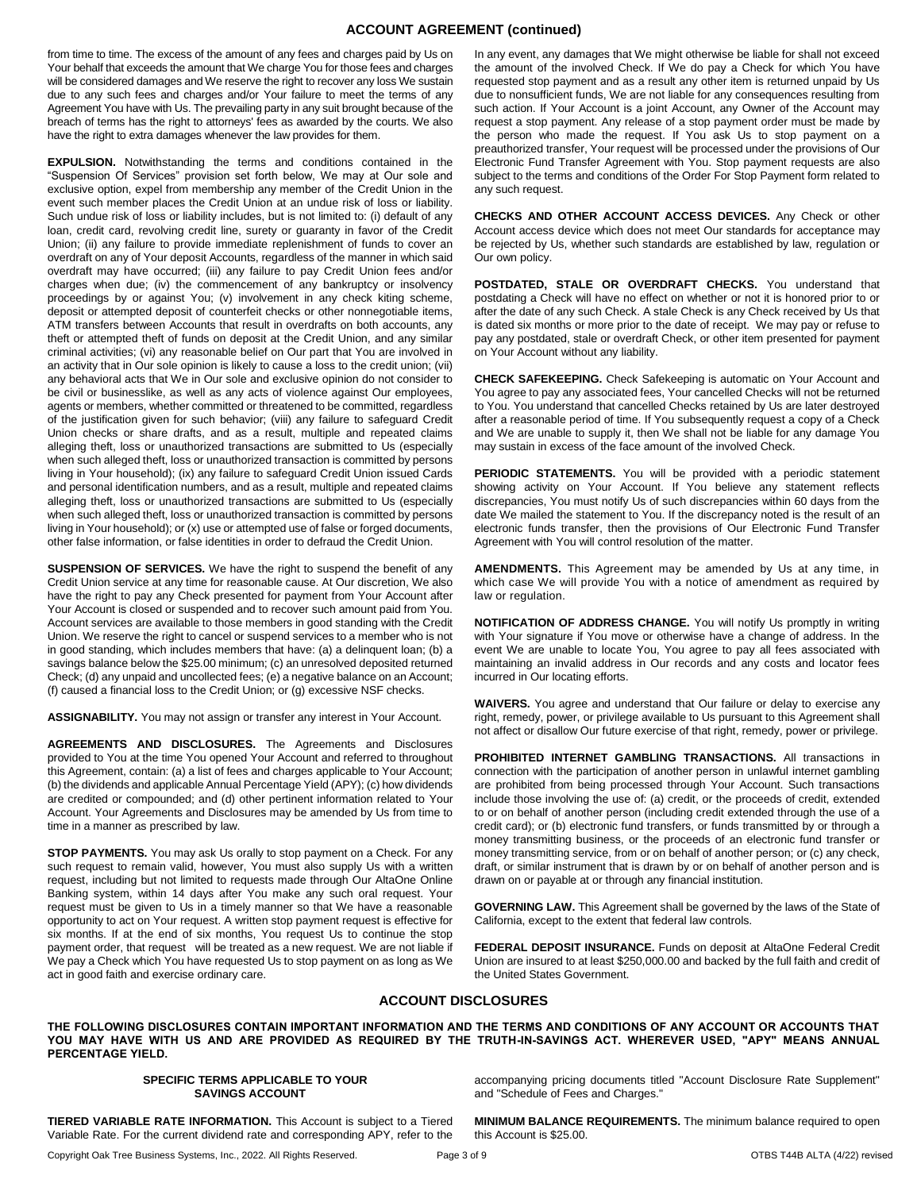# **ACCOUNT AGREEMENT (continued)**

from time to time. The excess of the amount of any fees and charges paid by Us on Your behalf that exceeds the amount that We charge You for those fees and charges will be considered damages and We reserve the right to recover any loss We sustain due to any such fees and charges and/or Your failure to meet the terms of any Agreement You have with Us. The prevailing party in any suit brought because of the breach of terms has the right to attorneys' fees as awarded by the courts. We also have the right to extra damages whenever the law provides for them.

**EXPULSION.** Notwithstanding the terms and conditions contained in the "Suspension Of Services" provision set forth below, We may at Our sole and exclusive option, expel from membership any member of the Credit Union in the event such member places the Credit Union at an undue risk of loss or liability. Such undue risk of loss or liability includes, but is not limited to: (i) default of any loan, credit card, revolving credit line, surety or guaranty in favor of the Credit Union; (ii) any failure to provide immediate replenishment of funds to cover an overdraft on any of Your deposit Accounts, regardless of the manner in which said overdraft may have occurred; (iii) any failure to pay Credit Union fees and/or charges when due; (iv) the commencement of any bankruptcy or insolvency proceedings by or against You; (v) involvement in any check kiting scheme, deposit or attempted deposit of counterfeit checks or other nonnegotiable items, ATM transfers between Accounts that result in overdrafts on both accounts, any theft or attempted theft of funds on deposit at the Credit Union, and any similar criminal activities; (vi) any reasonable belief on Our part that You are involved in an activity that in Our sole opinion is likely to cause a loss to the credit union; (vii) any behavioral acts that We in Our sole and exclusive opinion do not consider to be civil or businesslike, as well as any acts of violence against Our employees, agents or members, whether committed or threatened to be committed, regardless of the justification given for such behavior; (viii) any failure to safeguard Credit Union checks or share drafts, and as a result, multiple and repeated claims alleging theft, loss or unauthorized transactions are submitted to Us (especially when such alleged theft, loss or unauthorized transaction is committed by persons living in Your household); (ix) any failure to safeguard Credit Union issued Cards and personal identification numbers, and as a result, multiple and repeated claims alleging theft, loss or unauthorized transactions are submitted to Us (especially when such alleged theft, loss or unauthorized transaction is committed by persons living in Your household); or (x) use or attempted use of false or forged documents, other false information, or false identities in order to defraud the Credit Union.

**SUSPENSION OF SERVICES.** We have the right to suspend the benefit of any Credit Union service at any time for reasonable cause. At Our discretion, We also have the right to pay any Check presented for payment from Your Account after Your Account is closed or suspended and to recover such amount paid from You. Account services are available to those members in good standing with the Credit Union. We reserve the right to cancel or suspend services to a member who is not in good standing, which includes members that have: (a) a delinquent loan; (b) a savings balance below the \$25.00 minimum; (c) an unresolved deposited returned Check; (d) any unpaid and uncollected fees; (e) a negative balance on an Account; (f) caused a financial loss to the Credit Union; or (g) excessive NSF checks.

**ASSIGNABILITY.** You may not assign or transfer any interest in Your Account.

**AGREEMENTS AND DISCLOSURES.** The Agreements and Disclosures provided to You at the time You opened Your Account and referred to throughout this Agreement, contain: (a) a list of fees and charges applicable to Your Account; (b) the dividends and applicable Annual Percentage Yield (APY); (c) how dividends are credited or compounded; and (d) other pertinent information related to Your Account. Your Agreements and Disclosures may be amended by Us from time to time in a manner as prescribed by law.

**STOP PAYMENTS.** You may ask Us orally to stop payment on a Check. For any such request to remain valid, however, You must also supply Us with a written request, including but not limited to requests made through Our AltaOne Online Banking system, within 14 days after You make any such oral request. Your request must be given to Us in a timely manner so that We have a reasonable opportunity to act on Your request. A written stop payment request is effective for six months. If at the end of six months, You request Us to continue the stop payment order, that request will be treated as a new request. We are not liable if We pay a Check which You have requested Us to stop payment on as long as We act in good faith and exercise ordinary care.

In any event, any damages that We might otherwise be liable for shall not exceed the amount of the involved Check. If We do pay a Check for which You have requested stop payment and as a result any other item is returned unpaid by Us due to nonsufficient funds, We are not liable for any consequences resulting from such action. If Your Account is a joint Account, any Owner of the Account may request a stop payment. Any release of a stop payment order must be made by the person who made the request. If You ask Us to stop payment on a preauthorized transfer, Your request will be processed under the provisions of Our Electronic Fund Transfer Agreement with You. Stop payment requests are also subject to the terms and conditions of the Order For Stop Payment form related to any such request.

**CHECKS AND OTHER ACCOUNT ACCESS DEVICES.** Any Check or other Account access device which does not meet Our standards for acceptance may be rejected by Us, whether such standards are established by law, regulation or Our own policy.

**POSTDATED, STALE OR OVERDRAFT CHECKS.** You understand that postdating a Check will have no effect on whether or not it is honored prior to or after the date of any such Check. A stale Check is any Check received by Us that is dated six months or more prior to the date of receipt. We may pay or refuse to pay any postdated, stale or overdraft Check, or other item presented for payment on Your Account without any liability.

**CHECK SAFEKEEPING.** Check Safekeeping is automatic on Your Account and You agree to pay any associated fees, Your cancelled Checks will not be returned to You. You understand that cancelled Checks retained by Us are later destroyed after a reasonable period of time. If You subsequently request a copy of a Check and We are unable to supply it, then We shall not be liable for any damage You may sustain in excess of the face amount of the involved Check.

**PERIODIC STATEMENTS.** You will be provided with a periodic statement showing activity on Your Account. If You believe any statement reflects discrepancies, You must notify Us of such discrepancies within 60 days from the date We mailed the statement to You. If the discrepancy noted is the result of an electronic funds transfer, then the provisions of Our Electronic Fund Transfer Agreement with You will control resolution of the matter.

**AMENDMENTS.** This Agreement may be amended by Us at any time, in which case We will provide You with a notice of amendment as required by law or regulation.

**NOTIFICATION OF ADDRESS CHANGE.** You will notify Us promptly in writing with Your signature if You move or otherwise have a change of address. In the event We are unable to locate You, You agree to pay all fees associated with maintaining an invalid address in Our records and any costs and locator fees incurred in Our locating efforts.

**WAIVERS.** You agree and understand that Our failure or delay to exercise any right, remedy, power, or privilege available to Us pursuant to this Agreement shall not affect or disallow Our future exercise of that right, remedy, power or privilege.

**PROHIBITED INTERNET GAMBLING TRANSACTIONS.** All transactions in connection with the participation of another person in unlawful internet gambling are prohibited from being processed through Your Account. Such transactions include those involving the use of: (a) credit, or the proceeds of credit, extended to or on behalf of another person (including credit extended through the use of a credit card); or (b) electronic fund transfers, or funds transmitted by or through a money transmitting business, or the proceeds of an electronic fund transfer or money transmitting service, from or on behalf of another person; or (c) any check, draft, or similar instrument that is drawn by or on behalf of another person and is drawn on or payable at or through any financial institution.

**GOVERNING LAW.** This Agreement shall be governed by the laws of the State of California, except to the extent that federal law controls.

**FEDERAL DEPOSIT INSURANCE.** Funds on deposit at AltaOne Federal Credit Union are insured to at least \$250,000.00 and backed by the full faith and credit of the United States Government.

accompanying pricing documents titled "Account Disclosure Rate Supplement"

**MINIMUM BALANCE REQUIREMENTS.** The minimum balance required to open

and "Schedule of Fees and Charges."

this Account is \$25.00.

## **ACCOUNT DISCLOSURES**

**THE FOLLOWING DISCLOSURES CONTAIN IMPORTANT INFORMATION AND THE TERMS AND CONDITIONS OF ANY ACCOUNT OR ACCOUNTS THAT YOU MAY HAVE WITH US AND ARE PROVIDED AS REQUIRED BY THE TRUTH-IN-SAVINGS ACT. WHEREVER USED, "APY" MEANS ANNUAL PERCENTAGE YIELD.** 

#### **SPECIFIC TERMS APPLICABLE TO YOUR SAVINGS ACCOUNT**

**TIERED VARIABLE RATE INFORMATION.** This Account is subject to a Tiered Variable Rate. For the current dividend rate and corresponding APY, refer to the

Copyright Oak Tree Business Systems, Inc., 2022. All Rights Reserved. Page 3 of 9 Page 3 of 9 OTBS T44B ALTA (4/22) revised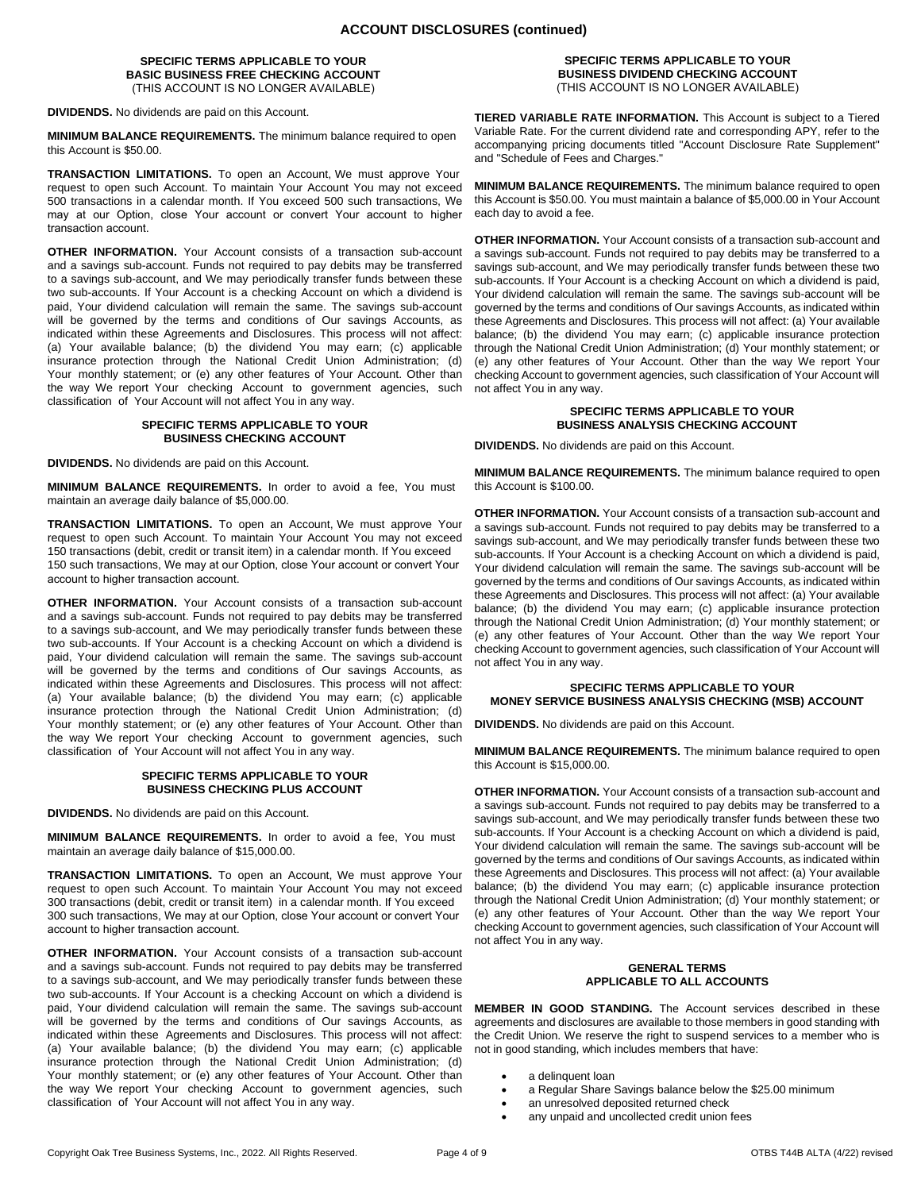#### **SPECIFIC TERMS APPLICABLE TO YOUR BASIC BUSINESS FREE CHECKING ACCOUNT** (THIS ACCOUNT IS NO LONGER AVAILABLE)

**DIVIDENDS.** No dividends are paid on this Account.

**MINIMUM BALANCE REQUIREMENTS.** The minimum balance required to open this Account is \$50.00.

**TRANSACTION LIMITATIONS.** To open an Account, We must approve Your request to open such Account. To maintain Your Account You may not exceed 500 transactions in a calendar month. If You exceed 500 such transactions, We may at our Option, close Your account or convert Your account to higher transaction account.

**OTHER INFORMATION.** Your Account consists of a transaction sub-account and a savings sub-account. Funds not required to pay debits may be transferred to a savings sub-account, and We may periodically transfer funds between these two sub-accounts. If Your Account is a checking Account on which a dividend is paid, Your dividend calculation will remain the same. The savings sub-account will be governed by the terms and conditions of Our savings Accounts, as indicated within these Agreements and Disclosures. This process will not affect: (a) Your available balance; (b) the dividend You may earn; (c) applicable insurance protection through the National Credit Union Administration; (d) Your monthly statement; or (e) any other features of Your Account. Other than the way We report Your checking Account to government agencies, such classification of Your Account will not affect You in any way.

#### **SPECIFIC TERMS APPLICABLE TO YOUR BUSINESS CHECKING ACCOUNT**

**DIVIDENDS.** No dividends are paid on this Account.

**MINIMUM BALANCE REQUIREMENTS.** In order to avoid a fee, You must maintain an average daily balance of \$5,000.00.

**TRANSACTION LIMITATIONS.** To open an Account, We must approve Your request to open such Account. To maintain Your Account You may not exceed 150 transactions (debit, credit or transit item) in a calendar month. If You exceed 150 such transactions, We may at our Option, close Your account or convert Your account to higher transaction account.

**OTHER INFORMATION.** Your Account consists of a transaction sub-account and a savings sub-account. Funds not required to pay debits may be transferred to a savings sub-account, and We may periodically transfer funds between these two sub-accounts. If Your Account is a checking Account on which a dividend is paid, Your dividend calculation will remain the same. The savings sub-account will be governed by the terms and conditions of Our savings Accounts, as indicated within these Agreements and Disclosures. This process will not affect: (a) Your available balance; (b) the dividend You may earn; (c) applicable insurance protection through the National Credit Union Administration; (d) Your monthly statement; or (e) any other features of Your Account. Other than the way We report Your checking Account to government agencies, such classification of Your Account will not affect You in any way.

#### **SPECIFIC TERMS APPLICABLE TO YOUR BUSINESS CHECKING PLUS ACCOUNT**

**DIVIDENDS.** No dividends are paid on this Account.

**MINIMUM BALANCE REQUIREMENTS.** In order to avoid a fee, You must maintain an average daily balance of \$15,000.00.

**TRANSACTION LIMITATIONS.** To open an Account, We must approve Your request to open such Account. To maintain Your Account You may not exceed 300 transactions (debit, credit or transit item) in a calendar month. If You exceed 300 such transactions, We may at our Option, close Your account or convert Your account to higher transaction account.

**OTHER INFORMATION.** Your Account consists of a transaction sub-account and a savings sub-account. Funds not required to pay debits may be transferred to a savings sub-account, and We may periodically transfer funds between these two sub-accounts. If Your Account is a checking Account on which a dividend is paid, Your dividend calculation will remain the same. The savings sub-account will be governed by the terms and conditions of Our savings Accounts, as indicated within these Agreements and Disclosures. This process will not affect: (a) Your available balance; (b) the dividend You may earn; (c) applicable insurance protection through the National Credit Union Administration; (d) Your monthly statement; or (e) any other features of Your Account. Other than the way We report Your checking Account to government agencies, such classification of Your Account will not affect You in any way.

#### **SPECIFIC TERMS APPLICABLE TO YOUR BUSINESS DIVIDEND CHECKING ACCOUNT** (THIS ACCOUNT IS NO LONGER AVAILABLE)

**TIERED VARIABLE RATE INFORMATION.** This Account is subject to a Tiered Variable Rate. For the current dividend rate and corresponding APY, refer to the accompanying pricing documents titled "Account Disclosure Rate Supplement" and "Schedule of Fees and Charges."

**MINIMUM BALANCE REQUIREMENTS.** The minimum balance required to open this Account is \$50.00. You must maintain a balance of \$5,000.00 in Your Account each day to avoid a fee.

**OTHER INFORMATION.** Your Account consists of a transaction sub-account and a savings sub-account. Funds not required to pay debits may be transferred to a savings sub-account, and We may periodically transfer funds between these two sub-accounts. If Your Account is a checking Account on which a dividend is paid, Your dividend calculation will remain the same. The savings sub-account will be governed by the terms and conditions of Our savings Accounts, as indicated within these Agreements and Disclosures. This process will not affect: (a) Your available balance; (b) the dividend You may earn; (c) applicable insurance protection through the National Credit Union Administration; (d) Your monthly statement; or (e) any other features of Your Account. Other than the way We report Your checking Account to government agencies, such classification of Your Account will not affect You in any way.

#### **SPECIFIC TERMS APPLICABLE TO YOUR BUSINESS ANALYSIS CHECKING ACCOUNT**

**DIVIDENDS.** No dividends are paid on this Account.

**MINIMUM BALANCE REQUIREMENTS.** The minimum balance required to open this Account is \$100.00.

**OTHER INFORMATION.** Your Account consists of a transaction sub-account and a savings sub-account. Funds not required to pay debits may be transferred to a savings sub-account, and We may periodically transfer funds between these two sub-accounts. If Your Account is a checking Account on which a dividend is paid, Your dividend calculation will remain the same. The savings sub-account will be governed by the terms and conditions of Our savings Accounts, as indicated within these Agreements and Disclosures. This process will not affect: (a) Your available balance; (b) the dividend You may earn; (c) applicable insurance protection through the National Credit Union Administration; (d) Your monthly statement; or (e) any other features of Your Account. Other than the way We report Your checking Account to government agencies, such classification of Your Account will not affect You in any way.

## **SPECIFIC TERMS APPLICABLE TO YOUR MONEY SERVICE BUSINESS ANALYSIS CHECKING (MSB) ACCOUNT**

**DIVIDENDS.** No dividends are paid on this Account.

**MINIMUM BALANCE REQUIREMENTS.** The minimum balance required to open this Account is \$15,000.00.

**OTHER INFORMATION.** Your Account consists of a transaction sub-account and a savings sub-account. Funds not required to pay debits may be transferred to a savings sub-account, and We may periodically transfer funds between these two sub-accounts. If Your Account is a checking Account on which a dividend is paid, Your dividend calculation will remain the same. The savings sub-account will be governed by the terms and conditions of Our savings Accounts, as indicated within these Agreements and Disclosures. This process will not affect: (a) Your available balance; (b) the dividend You may earn; (c) applicable insurance protection through the National Credit Union Administration; (d) Your monthly statement; or (e) any other features of Your Account. Other than the way We report Your checking Account to government agencies, such classification of Your Account will not affect You in any way.

#### **GENERAL TERMS APPLICABLE TO ALL ACCOUNTS**

**MEMBER IN GOOD STANDING.** The Account services described in these agreements and disclosures are available to those members in good standing with the Credit Union. We reserve the right to suspend services to a member who is not in good standing, which includes members that have:

- a delinquent loan
- a Regular Share Savings balance below the \$25.00 minimum
- an unresolved deposited returned check
- any unpaid and uncollected credit union fees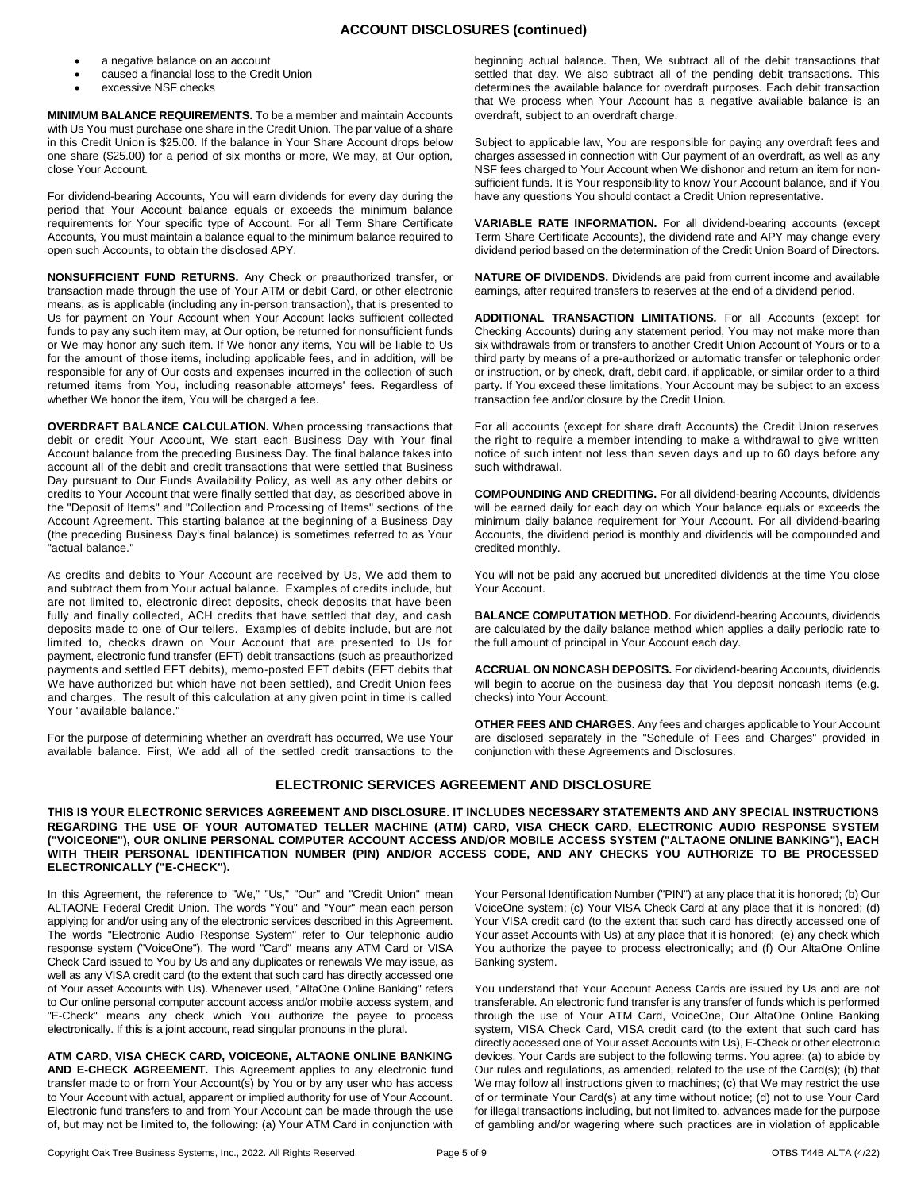## **ACCOUNT DISCLOSURES (continued)**

- a negative balance on an account
- caused a financial loss to the Credit Union
- excessive NSF checks

**MINIMUM BALANCE REQUIREMENTS.** To be a member and maintain Accounts with Us You must purchase one share in the Credit Union. The par value of a share in this Credit Union is \$25.00. If the balance in Your Share Account drops below one share (\$25.00) for a period of six months or more, We may, at Our option, close Your Account.

For dividend-bearing Accounts, You will earn dividends for every day during the period that Your Account balance equals or exceeds the minimum balance requirements for Your specific type of Account. For all Term Share Certificate Accounts, You must maintain a balance equal to the minimum balance required to open such Accounts, to obtain the disclosed APY.

**NONSUFFICIENT FUND RETURNS.** Any Check or preauthorized transfer, or transaction made through the use of Your ATM or debit Card, or other electronic means, as is applicable (including any in-person transaction), that is presented to Us for payment on Your Account when Your Account lacks sufficient collected funds to pay any such item may, at Our option, be returned for nonsufficient funds or We may honor any such item. If We honor any items, You will be liable to Us for the amount of those items, including applicable fees, and in addition, will be responsible for any of Our costs and expenses incurred in the collection of such returned items from You, including reasonable attorneys' fees. Regardless of whether We honor the item, You will be charged a fee.

**OVERDRAFT BALANCE CALCULATION.** When processing transactions that debit or credit Your Account, We start each Business Day with Your final Account balance from the preceding Business Day. The final balance takes into account all of the debit and credit transactions that were settled that Business Day pursuant to Our Funds Availability Policy, as well as any other debits or credits to Your Account that were finally settled that day, as described above in the "Deposit of Items" and "Collection and Processing of Items" sections of the Account Agreement. This starting balance at the beginning of a Business Day (the preceding Business Day's final balance) is sometimes referred to as Your "actual balance."

As credits and debits to Your Account are received by Us, We add them to and subtract them from Your actual balance. Examples of credits include, but are not limited to, electronic direct deposits, check deposits that have been fully and finally collected, ACH credits that have settled that day, and cash deposits made to one of Our tellers. Examples of debits include, but are not limited to, checks drawn on Your Account that are presented to Us for payment, electronic fund transfer (EFT) debit transactions (such as preauthorized payments and settled EFT debits), memo-posted EFT debits (EFT debits that We have authorized but which have not been settled), and Credit Union fees and charges. The result of this calculation at any given point in time is called Your "available balance."

For the purpose of determining whether an overdraft has occurred, We use Your available balance. First, We add all of the settled credit transactions to the beginning actual balance. Then, We subtract all of the debit transactions that settled that day. We also subtract all of the pending debit transactions. This determines the available balance for overdraft purposes. Each debit transaction that We process when Your Account has a negative available balance is an overdraft, subject to an overdraft charge.

Subject to applicable law, You are responsible for paying any overdraft fees and charges assessed in connection with Our payment of an overdraft, as well as any NSF fees charged to Your Account when We dishonor and return an item for nonsufficient funds. It is Your responsibility to know Your Account balance, and if You have any questions You should contact a Credit Union representative.

**VARIABLE RATE INFORMATION.** For all dividend-bearing accounts (except Term Share Certificate Accounts), the dividend rate and APY may change every dividend period based on the determination of the Credit Union Board of Directors.

**NATURE OF DIVIDENDS.** Dividends are paid from current income and available earnings, after required transfers to reserves at the end of a dividend period.

**ADDITIONAL TRANSACTION LIMITATIONS.** For all Accounts (except for Checking Accounts) during any statement period, You may not make more than six withdrawals from or transfers to another Credit Union Account of Yours or to a third party by means of a pre-authorized or automatic transfer or telephonic order or instruction, or by check, draft, debit card, if applicable, or similar order to a third party. If You exceed these limitations, Your Account may be subject to an excess transaction fee and/or closure by the Credit Union.

For all accounts (except for share draft Accounts) the Credit Union reserves the right to require a member intending to make a withdrawal to give written notice of such intent not less than seven days and up to 60 days before any such withdrawal.

**COMPOUNDING AND CREDITING.** For all dividend-bearing Accounts, dividends will be earned daily for each day on which Your balance equals or exceeds the minimum daily balance requirement for Your Account. For all dividend-bearing Accounts, the dividend period is monthly and dividends will be compounded and credited monthly.

You will not be paid any accrued but uncredited dividends at the time You close Your Account.

**BALANCE COMPUTATION METHOD.** For dividend-bearing Accounts, dividends are calculated by the daily balance method which applies a daily periodic rate to the full amount of principal in Your Account each day.

**ACCRUAL ON NONCASH DEPOSITS.** For dividend-bearing Accounts, dividends will begin to accrue on the business day that You deposit noncash items (e.g. checks) into Your Account.

**OTHER FEES AND CHARGES.** Any fees and charges applicable to Your Account are disclosed separately in the "Schedule of Fees and Charges" provided in conjunction with these Agreements and Disclosures.

# **ELECTRONIC SERVICES AGREEMENT AND DISCLOSURE**

**THIS IS YOUR ELECTRONIC SERVICES AGREEMENT AND DISCLOSURE. IT INCLUDES NECESSARY STATEMENTS AND ANY SPECIAL INSTRUCTIONS REGARDING THE USE OF YOUR AUTOMATED TELLER MACHINE (ATM) CARD, VISA CHECK CARD, ELECTRONIC AUDIO RESPONSE SYSTEM ("VOICEONE"), OUR ONLINE PERSONAL COMPUTER ACCOUNT ACCESS AND/OR MOBILE ACCESS SYSTEM ("ALTAONE ONLINE BANKING"), EACH WITH THEIR PERSONAL IDENTIFICATION NUMBER (PIN) AND/OR ACCESS CODE, AND ANY CHECKS YOU AUTHORIZE TO BE PROCESSED ELECTRONICALLY ("E-CHECK").** 

In this Agreement, the reference to "We," "Us," "Our" and "Credit Union" mean ALTAONE Federal Credit Union. The words "You" and "Your" mean each person applying for and/or using any of the electronic services described in this Agreement. The words "Electronic Audio Response System" refer to Our telephonic audio response system ("VoiceOne"). The word "Card" means any ATM Card or VISA Check Card issued to You by Us and any duplicates or renewals We may issue, as well as any VISA credit card (to the extent that such card has directly accessed one of Your asset Accounts with Us). Whenever used, "AltaOne Online Banking" refers to Our online personal computer account access and/or mobile access system, and "E-Check" means any check which You authorize the payee to process electronically. If this is a joint account, read singular pronouns in the plural.

**ATM CARD, VISA CHECK CARD, VOICEONE, ALTAONE ONLINE BANKING AND E-CHECK AGREEMENT.** This Agreement applies to any electronic fund transfer made to or from Your Account(s) by You or by any user who has access to Your Account with actual, apparent or implied authority for use of Your Account. Electronic fund transfers to and from Your Account can be made through the use of, but may not be limited to, the following: (a) Your ATM Card in conjunction with Your Personal Identification Number ("PIN") at any place that it is honored; (b) Our VoiceOne system; (c) Your VISA Check Card at any place that it is honored; (d) Your VISA credit card (to the extent that such card has directly accessed one of Your asset Accounts with Us) at any place that it is honored; (e) any check which You authorize the payee to process electronically; and (f) Our AltaOne Online Banking system.

You understand that Your Account Access Cards are issued by Us and are not transferable. An electronic fund transfer is any transfer of funds which is performed through the use of Your ATM Card, VoiceOne, Our AltaOne Online Banking system, VISA Check Card, VISA credit card (to the extent that such card has directly accessed one of Your asset Accounts with Us), E-Check or other electronic devices. Your Cards are subject to the following terms. You agree: (a) to abide by Our rules and regulations, as amended, related to the use of the Card(s); (b) that We may follow all instructions given to machines; (c) that We may restrict the use of or terminate Your Card(s) at any time without notice; (d) not to use Your Card for illegal transactions including, but not limited to, advances made for the purpose of gambling and/or wagering where such practices are in violation of applicable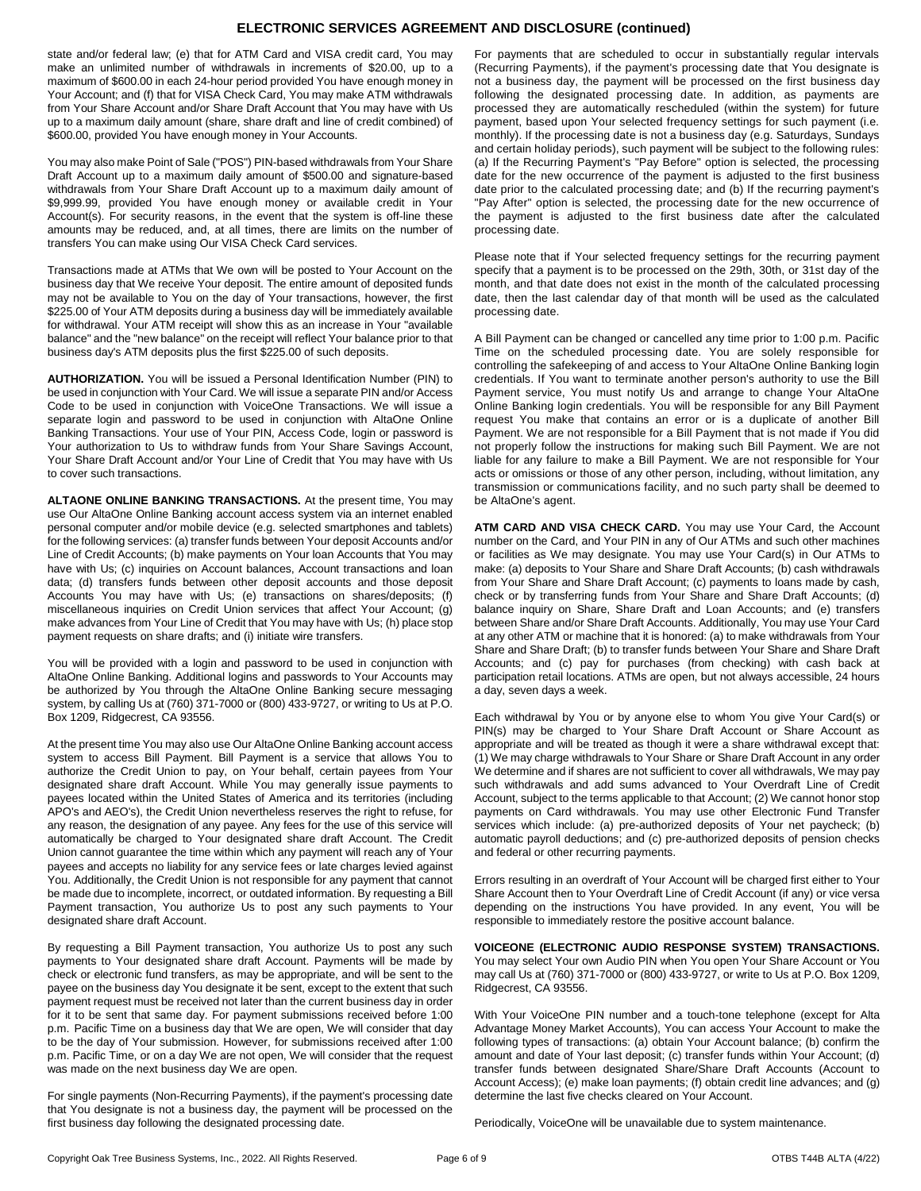## **ELECTRONIC SERVICES AGREEMENT AND DISCLOSURE (continued)**

state and/or federal law; (e) that for ATM Card and VISA credit card, You may make an unlimited number of withdrawals in increments of \$20.00, up to a maximum of \$600.00 in each 24-hour period provided You have enough money in Your Account; and (f) that for VISA Check Card, You may make ATM withdrawals from Your Share Account and/or Share Draft Account that You may have with Us up to a maximum daily amount (share, share draft and line of credit combined) of \$600.00, provided You have enough money in Your Accounts.

You may also make Point of Sale ("POS") PIN-based withdrawals from Your Share Draft Account up to a maximum daily amount of \$500.00 and signature-based withdrawals from Your Share Draft Account up to a maximum daily amount of \$9,999.99, provided You have enough money or available credit in Your Account(s). For security reasons, in the event that the system is off-line these amounts may be reduced, and, at all times, there are limits on the number of transfers You can make using Our VISA Check Card services.

Transactions made at ATMs that We own will be posted to Your Account on the business day that We receive Your deposit. The entire amount of deposited funds may not be available to You on the day of Your transactions, however, the first \$225.00 of Your ATM deposits during a business day will be immediately available for withdrawal. Your ATM receipt will show this as an increase in Your "available balance" and the "new balance" on the receipt will reflect Your balance prior to that business day's ATM deposits plus the first \$225.00 of such deposits.

**AUTHORIZATION.** You will be issued a Personal Identification Number (PIN) to be used in conjunction with Your Card. We will issue a separate PIN and/or Access Code to be used in conjunction with VoiceOne Transactions. We will issue a separate login and password to be used in conjunction with AltaOne Online Banking Transactions. Your use of Your PIN, Access Code, login or password is Your authorization to Us to withdraw funds from Your Share Savings Account, Your Share Draft Account and/or Your Line of Credit that You may have with Us to cover such transactions.

**ALTAONE ONLINE BANKING TRANSACTIONS.** At the present time, You may use Our AltaOne Online Banking account access system via an internet enabled personal computer and/or mobile device (e.g. selected smartphones and tablets) for the following services: (a) transfer funds between Your deposit Accounts and/or Line of Credit Accounts; (b) make payments on Your loan Accounts that You may have with Us; (c) inquiries on Account balances, Account transactions and loan data; (d) transfers funds between other deposit accounts and those deposit Accounts You may have with Us; (e) transactions on shares/deposits; (f) miscellaneous inquiries on Credit Union services that affect Your Account; (g) make advances from Your Line of Credit that You may have with Us; (h) place stop payment requests on share drafts; and (i) initiate wire transfers.

You will be provided with a login and password to be used in conjunction with AltaOne Online Banking. Additional logins and passwords to Your Accounts may be authorized by You through the AltaOne Online Banking secure messaging system, by calling Us at (760) 371-7000 or (800) 433-9727, or writing to Us at P.O. Box 1209, Ridgecrest, CA 93556.

At the present time You may also use Our AltaOne Online Banking account access system to access Bill Payment. Bill Payment is a service that allows You to authorize the Credit Union to pay, on Your behalf, certain payees from Your designated share draft Account. While You may generally issue payments to payees located within the United States of America and its territories (including APO's and AEO's), the Credit Union nevertheless reserves the right to refuse, for any reason, the designation of any payee. Any fees for the use of this service will automatically be charged to Your designated share draft Account. The Credit Union cannot guarantee the time within which any payment will reach any of Your payees and accepts no liability for any service fees or late charges levied against You. Additionally, the Credit Union is not responsible for any payment that cannot be made due to incomplete, incorrect, or outdated information. By requesting a Bill Payment transaction, You authorize Us to post any such payments to Your designated share draft Account.

By requesting a Bill Payment transaction, You authorize Us to post any such payments to Your designated share draft Account. Payments will be made by check or electronic fund transfers, as may be appropriate, and will be sent to the payee on the business day You designate it be sent, except to the extent that such payment request must be received not later than the current business day in order for it to be sent that same day. For payment submissions received before 1:00 p.m. Pacific Time on a business day that We are open, We will consider that day to be the day of Your submission. However, for submissions received after 1:00 p.m. Pacific Time, or on a day We are not open, We will consider that the request was made on the next business day We are open.

For single payments (Non-Recurring Payments), if the payment's processing date that You designate is not a business day, the payment will be processed on the first business day following the designated processing date.

For payments that are scheduled to occur in substantially regular intervals (Recurring Payments), if the payment's processing date that You designate is not a business day, the payment will be processed on the first business day following the designated processing date. In addition, as payments are processed they are automatically rescheduled (within the system) for future payment, based upon Your selected frequency settings for such payment (i.e. monthly). If the processing date is not a business day (e.g. Saturdays, Sundays and certain holiday periods), such payment will be subject to the following rules: (a) If the Recurring Payment's "Pay Before" option is selected, the processing date for the new occurrence of the payment is adjusted to the first business date prior to the calculated processing date; and (b) If the recurring payment's "Pay After" option is selected, the processing date for the new occurrence of the payment is adjusted to the first business date after the calculated processing date.

Please note that if Your selected frequency settings for the recurring payment specify that a payment is to be processed on the 29th, 30th, or 31st day of the month, and that date does not exist in the month of the calculated processing date, then the last calendar day of that month will be used as the calculated processing date.

A Bill Payment can be changed or cancelled any time prior to 1:00 p.m. Pacific Time on the scheduled processing date. You are solely responsible for controlling the safekeeping of and access to Your AltaOne Online Banking login credentials. If You want to terminate another person's authority to use the Bill Payment service, You must notify Us and arrange to change Your AltaOne Online Banking login credentials. You will be responsible for any Bill Payment request You make that contains an error or is a duplicate of another Bill Payment. We are not responsible for a Bill Payment that is not made if You did not properly follow the instructions for making such Bill Payment. We are not liable for any failure to make a Bill Payment. We are not responsible for Your acts or omissions or those of any other person, including, without limitation, any transmission or communications facility, and no such party shall be deemed to be AltaOne's agent.

**ATM CARD AND VISA CHECK CARD.** You may use Your Card, the Account number on the Card, and Your PIN in any of Our ATMs and such other machines or facilities as We may designate. You may use Your Card(s) in Our ATMs to make: (a) deposits to Your Share and Share Draft Accounts; (b) cash withdrawals from Your Share and Share Draft Account; (c) payments to loans made by cash, check or by transferring funds from Your Share and Share Draft Accounts; (d) balance inquiry on Share, Share Draft and Loan Accounts; and (e) transfers between Share and/or Share Draft Accounts. Additionally, You may use Your Card at any other ATM or machine that it is honored: (a) to make withdrawals from Your Share and Share Draft; (b) to transfer funds between Your Share and Share Draft Accounts; and (c) pay for purchases (from checking) with cash back at participation retail locations. ATMs are open, but not always accessible, 24 hours a day, seven days a week.

Each withdrawal by You or by anyone else to whom You give Your Card(s) or PIN(s) may be charged to Your Share Draft Account or Share Account as appropriate and will be treated as though it were a share withdrawal except that: (1) We may charge withdrawals to Your Share or Share Draft Account in any order We determine and if shares are not sufficient to cover all withdrawals, We may pay such withdrawals and add sums advanced to Your Overdraft Line of Credit Account, subject to the terms applicable to that Account; (2) We cannot honor stop payments on Card withdrawals. You may use other Electronic Fund Transfer services which include: (a) pre-authorized deposits of Your net paycheck; (b) automatic payroll deductions; and (c) pre-authorized deposits of pension checks and federal or other recurring payments.

Errors resulting in an overdraft of Your Account will be charged first either to Your Share Account then to Your Overdraft Line of Credit Account (if any) or vice versa depending on the instructions You have provided. In any event, You will be responsible to immediately restore the positive account balance.

#### **VOICEONE (ELECTRONIC AUDIO RESPONSE SYSTEM) TRANSACTIONS.**

You may select Your own Audio PIN when You open Your Share Account or You may call Us at (760) 371-7000 or (800) 433-9727, or write to Us at P.O. Box 1209, Ridgecrest, CA 93556.

With Your VoiceOne PIN number and a touch-tone telephone (except for Alta Advantage Money Market Accounts), You can access Your Account to make the following types of transactions: (a) obtain Your Account balance; (b) confirm the amount and date of Your last deposit; (c) transfer funds within Your Account; (d) transfer funds between designated Share/Share Draft Accounts (Account to Account Access); (e) make loan payments; (f) obtain credit line advances; and (g) determine the last five checks cleared on Your Account.

Periodically, VoiceOne will be unavailable due to system maintenance.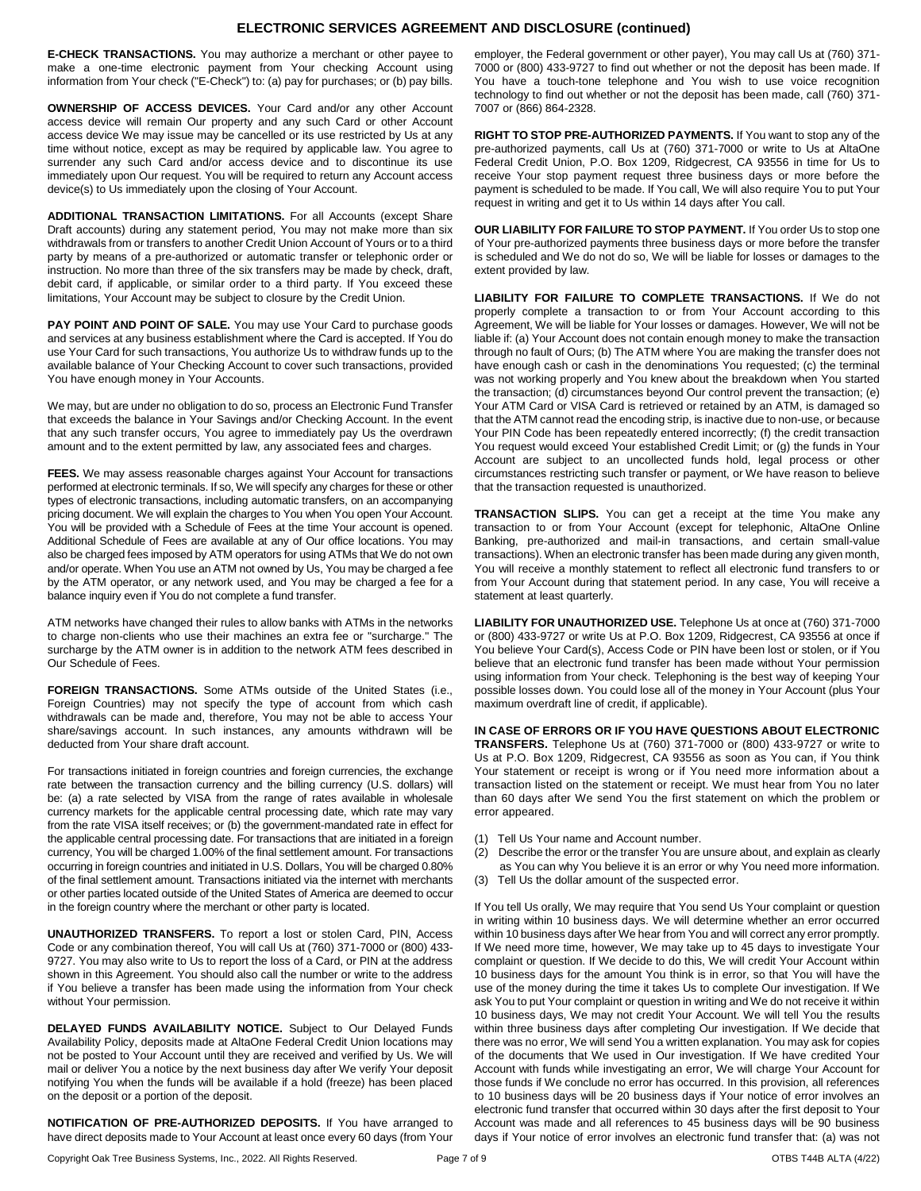## **ELECTRONIC SERVICES AGREEMENT AND DISCLOSURE (continued)**

**E-CHECK TRANSACTIONS.** You may authorize a merchant or other payee to make a one-time electronic payment from Your checking Account using information from Your check ("E-Check") to: (a) pay for purchases; or (b) pay bills.

**OWNERSHIP OF ACCESS DEVICES.** Your Card and/or any other Account access device will remain Our property and any such Card or other Account access device We may issue may be cancelled or its use restricted by Us at any time without notice, except as may be required by applicable law. You agree to surrender any such Card and/or access device and to discontinue its use immediately upon Our request. You will be required to return any Account access device(s) to Us immediately upon the closing of Your Account.

**ADDITIONAL TRANSACTION LIMITATIONS.** For all Accounts (except Share Draft accounts) during any statement period, You may not make more than six withdrawals from or transfers to another Credit Union Account of Yours or to a third party by means of a pre-authorized or automatic transfer or telephonic order or instruction. No more than three of the six transfers may be made by check, draft, debit card, if applicable, or similar order to a third party. If You exceed these limitations, Your Account may be subject to closure by the Credit Union.

PAY POINT AND POINT OF SALE. You may use Your Card to purchase goods and services at any business establishment where the Card is accepted. If You do use Your Card for such transactions, You authorize Us to withdraw funds up to the available balance of Your Checking Account to cover such transactions, provided You have enough money in Your Accounts.

We may, but are under no obligation to do so, process an Electronic Fund Transfer that exceeds the balance in Your Savings and/or Checking Account. In the event that any such transfer occurs, You agree to immediately pay Us the overdrawn amount and to the extent permitted by law, any associated fees and charges.

**FEES.** We may assess reasonable charges against Your Account for transactions performed at electronic terminals. If so, We will specify any charges for these or other types of electronic transactions, including automatic transfers, on an accompanying pricing document. We will explain the charges to You when You open Your Account. You will be provided with a Schedule of Fees at the time Your account is opened. Additional Schedule of Fees are available at any of Our office locations. You may also be charged fees imposed by ATM operators for using ATMs that We do not own and/or operate. When You use an ATM not owned by Us, You may be charged a fee by the ATM operator, or any network used, and You may be charged a fee for a balance inquiry even if You do not complete a fund transfer.

ATM networks have changed their rules to allow banks with ATMs in the networks to charge non-clients who use their machines an extra fee or "surcharge." The surcharge by the ATM owner is in addition to the network ATM fees described in Our Schedule of Fees.

**FOREIGN TRANSACTIONS.** Some ATMs outside of the United States (i.e., Foreign Countries) may not specify the type of account from which cash withdrawals can be made and, therefore, You may not be able to access Your share/savings account. In such instances, any amounts withdrawn will be deducted from Your share draft account.

For transactions initiated in foreign countries and foreign currencies, the exchange rate between the transaction currency and the billing currency (U.S. dollars) will be: (a) a rate selected by VISA from the range of rates available in wholesale currency markets for the applicable central processing date, which rate may vary from the rate VISA itself receives; or (b) the government-mandated rate in effect for the applicable central processing date. For transactions that are initiated in a foreign currency, You will be charged 1.00% of the final settlement amount. For transactions occurring in foreign countries and initiated in U.S. Dollars, You will be charged 0.80% of the final settlement amount. Transactions initiated via the internet with merchants or other parties located outside of the United States of America are deemed to occur in the foreign country where the merchant or other party is located.

**UNAUTHORIZED TRANSFERS.** To report a lost or stolen Card, PIN, Access Code or any combination thereof, You will call Us at (760) 371-7000 or (800) 433- 9727. You may also write to Us to report the loss of a Card, or PIN at the address shown in this Agreement. You should also call the number or write to the address if You believe a transfer has been made using the information from Your check without Your permission.

**DELAYED FUNDS AVAILABILITY NOTICE.** Subject to Our Delayed Funds Availability Policy, deposits made at AltaOne Federal Credit Union locations may not be posted to Your Account until they are received and verified by Us. We will mail or deliver You a notice by the next business day after We verify Your deposit notifying You when the funds will be available if a hold (freeze) has been placed on the deposit or a portion of the deposit.

**NOTIFICATION OF PRE-AUTHORIZED DEPOSITS.** If You have arranged to have direct deposits made to Your Account at least once every 60 days (from Your employer, the Federal government or other payer), You may call Us at (760) 371- 7000 or (800) 433-9727 to find out whether or not the deposit has been made. If You have a touch-tone telephone and You wish to use voice recognition technology to find out whether or not the deposit has been made, call (760) 371- 7007 or (866) 864-2328.

**RIGHT TO STOP PRE-AUTHORIZED PAYMENTS.** If You want to stop any of the pre-authorized payments, call Us at (760) 371-7000 or write to Us at AltaOne Federal Credit Union, P.O. Box 1209, Ridgecrest, CA 93556 in time for Us to receive Your stop payment request three business days or more before the payment is scheduled to be made. If You call, We will also require You to put Your request in writing and get it to Us within 14 days after You call.

**OUR LIABILITY FOR FAILURE TO STOP PAYMENT.** If You order Us to stop one of Your pre-authorized payments three business days or more before the transfer is scheduled and We do not do so, We will be liable for losses or damages to the extent provided by law.

**LIABILITY FOR FAILURE TO COMPLETE TRANSACTIONS.** If We do not properly complete a transaction to or from Your Account according to this Agreement, We will be liable for Your losses or damages. However, We will not be liable if: (a) Your Account does not contain enough money to make the transaction through no fault of Ours; (b) The ATM where You are making the transfer does not have enough cash or cash in the denominations You requested; (c) the terminal was not working properly and You knew about the breakdown when You started the transaction; (d) circumstances beyond Our control prevent the transaction; (e) Your ATM Card or VISA Card is retrieved or retained by an ATM, is damaged so that the ATM cannot read the encoding strip, is inactive due to non-use, or because Your PIN Code has been repeatedly entered incorrectly; (f) the credit transaction You request would exceed Your established Credit Limit; or (g) the funds in Your Account are subject to an uncollected funds hold, legal process or other circumstances restricting such transfer or payment, or We have reason to believe that the transaction requested is unauthorized.

**TRANSACTION SLIPS.** You can get a receipt at the time You make any transaction to or from Your Account (except for telephonic, AltaOne Online Banking, pre-authorized and mail-in transactions, and certain small-value transactions). When an electronic transfer has been made during any given month, You will receive a monthly statement to reflect all electronic fund transfers to or from Your Account during that statement period. In any case, You will receive a statement at least quarterly.

**LIABILITY FOR UNAUTHORIZED USE.** Telephone Us at once at (760) 371-7000 or (800) 433-9727 or write Us at P.O. Box 1209, Ridgecrest, CA 93556 at once if You believe Your Card(s), Access Code or PIN have been lost or stolen, or if You believe that an electronic fund transfer has been made without Your permission using information from Your check. Telephoning is the best way of keeping Your possible losses down. You could lose all of the money in Your Account (plus Your maximum overdraft line of credit, if applicable).

**IN CASE OF ERRORS OR IF YOU HAVE QUESTIONS ABOUT ELECTRONIC TRANSFERS.** Telephone Us at (760) 371-7000 or (800) 433-9727 or write to Us at P.O. Box 1209, Ridgecrest, CA 93556 as soon as You can, if You think Your statement or receipt is wrong or if You need more information about a transaction listed on the statement or receipt. We must hear from You no later than 60 days after We send You the first statement on which the problem or error appeared.

- (1) Tell Us Your name and Account number.
- (2) Describe the error or the transfer You are unsure about, and explain as clearly as You can why You believe it is an error or why You need more information.
- (3) Tell Us the dollar amount of the suspected error.

If You tell Us orally, We may require that You send Us Your complaint or question in writing within 10 business days. We will determine whether an error occurred within 10 business days after We hear from You and will correct any error promptly. If We need more time, however, We may take up to 45 days to investigate Your complaint or question. If We decide to do this, We will credit Your Account within 10 business days for the amount You think is in error, so that You will have the use of the money during the time it takes Us to complete Our investigation. If We ask You to put Your complaint or question in writing and We do not receive it within 10 business days, We may not credit Your Account. We will tell You the results within three business days after completing Our investigation. If We decide that there was no error, We will send You a written explanation. You may ask for copies of the documents that We used in Our investigation. If We have credited Your Account with funds while investigating an error, We will charge Your Account for those funds if We conclude no error has occurred. In this provision, all references to 10 business days will be 20 business days if Your notice of error involves an electronic fund transfer that occurred within 30 days after the first deposit to Your Account was made and all references to 45 business days will be 90 business days if Your notice of error involves an electronic fund transfer that: (a) was not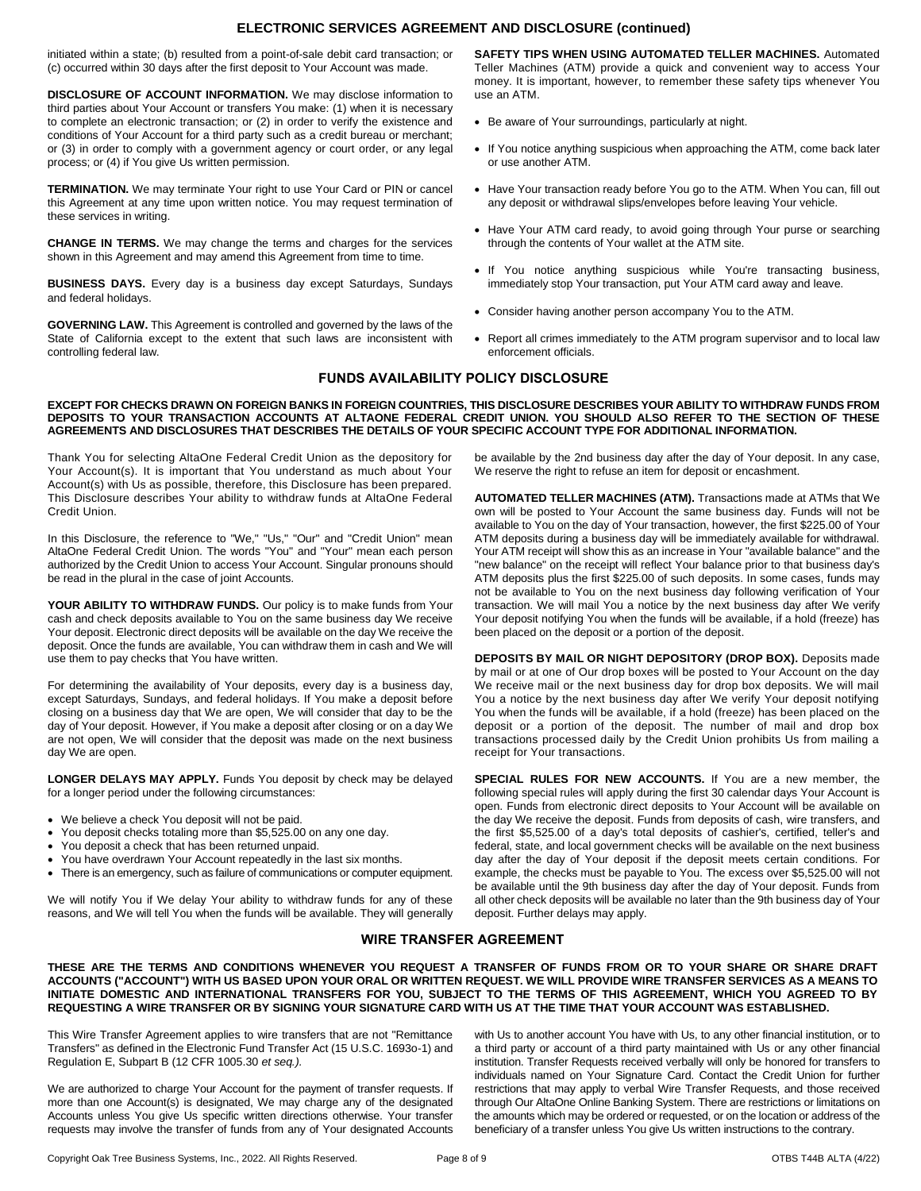## **ELECTRONIC SERVICES AGREEMENT AND DISCLOSURE (continued)**

initiated within a state; (b) resulted from a point-of-sale debit card transaction; or (c) occurred within 30 days after the first deposit to Your Account was made.

**DISCLOSURE OF ACCOUNT INFORMATION.** We may disclose information to third parties about Your Account or transfers You make: (1) when it is necessary to complete an electronic transaction; or (2) in order to verify the existence and conditions of Your Account for a third party such as a credit bureau or merchant; or (3) in order to comply with a government agency or court order, or any legal process; or (4) if You give Us written permission.

**TERMINATION.** We may terminate Your right to use Your Card or PIN or cancel this Agreement at any time upon written notice. You may request termination of these services in writing.

**CHANGE IN TERMS.** We may change the terms and charges for the services shown in this Agreement and may amend this Agreement from time to time.

**BUSINESS DAYS.** Every day is a business day except Saturdays, Sundays and federal holidays.

**GOVERNING LAW.** This Agreement is controlled and governed by the laws of the State of California except to the extent that such laws are inconsistent with controlling federal law.

**SAFETY TIPS WHEN USING AUTOMATED TELLER MACHINES.** Automated Teller Machines (ATM) provide a quick and convenient way to access Your money. It is important, however, to remember these safety tips whenever You use an ATM.

- Be aware of Your surroundings, particularly at night.
- If You notice anything suspicious when approaching the ATM, come back later or use another ATM.
- Have Your transaction ready before You go to the ATM. When You can, fill out any deposit or withdrawal slips/envelopes before leaving Your vehicle.
- Have Your ATM card ready, to avoid going through Your purse or searching through the contents of Your wallet at the ATM site.
- If You notice anything suspicious while You're transacting business, immediately stop Your transaction, put Your ATM card away and leave.
- Consider having another person accompany You to the ATM.
- Report all crimes immediately to the ATM program supervisor and to local law enforcement officials.

# **FUNDS AVAILABILITY POLICY DISCLOSURE**

#### **EXCEPT FOR CHECKS DRAWN ON FOREIGN BANKS IN FOREIGN COUNTRIES, THIS DISCLOSURE DESCRIBES YOUR ABILITY TO WITHDRAW FUNDS FROM DEPOSITS TO YOUR TRANSACTION ACCOUNTS AT ALTAONE FEDERAL CREDIT UNION. YOU SHOULD ALSO REFER TO THE SECTION OF THESE AGREEMENTS AND DISCLOSURES THAT DESCRIBES THE DETAILS OF YOUR SPECIFIC ACCOUNT TYPE FOR ADDITIONAL INFORMATION.**

Thank You for selecting AltaOne Federal Credit Union as the depository for Your Account(s). It is important that You understand as much about Your Account(s) with Us as possible, therefore, this Disclosure has been prepared. This Disclosure describes Your ability to withdraw funds at AltaOne Federal Credit Union.

In this Disclosure, the reference to "We," "Us," "Our" and "Credit Union" mean AltaOne Federal Credit Union. The words "You" and "Your" mean each person authorized by the Credit Union to access Your Account. Singular pronouns should be read in the plural in the case of joint Accounts.

**YOUR ABILITY TO WITHDRAW FUNDS.** Our policy is to make funds from Your cash and check deposits available to You on the same business day We receive Your deposit. Electronic direct deposits will be available on the day We receive the deposit. Once the funds are available, You can withdraw them in cash and We will use them to pay checks that You have written.

For determining the availability of Your deposits, every day is a business day, except Saturdays, Sundays, and federal holidays. If You make a deposit before closing on a business day that We are open, We will consider that day to be the day of Your deposit. However, if You make a deposit after closing or on a day We are not open, We will consider that the deposit was made on the next business day We are open.

**LONGER DELAYS MAY APPLY.** Funds You deposit by check may be delayed for a longer period under the following circumstances:

- We believe a check You deposit will not be paid.
- You deposit checks totaling more than \$5,525.00 on any one day.
- You deposit a check that has been returned unpaid.
- You have overdrawn Your Account repeatedly in the last six months.
- There is an emergency, such as failure of communications or computer equipment.

We will notify You if We delay Your ability to withdraw funds for any of these reasons, and We will tell You when the funds will be available. They will generally

be available by the 2nd business day after the day of Your deposit. In any case, We reserve the right to refuse an item for deposit or encashment.

**AUTOMATED TELLER MACHINES (ATM).** Transactions made at ATMs that We own will be posted to Your Account the same business day. Funds will not be available to You on the day of Your transaction, however, the first \$225.00 of Your ATM deposits during a business day will be immediately available for withdrawal. Your ATM receipt will show this as an increase in Your "available balance" and the "new balance" on the receipt will reflect Your balance prior to that business day's ATM deposits plus the first \$225.00 of such deposits. In some cases, funds may not be available to You on the next business day following verification of Your transaction. We will mail You a notice by the next business day after We verify Your deposit notifying You when the funds will be available, if a hold (freeze) has been placed on the deposit or a portion of the deposit.

**DEPOSITS BY MAIL OR NIGHT DEPOSITORY (DROP BOX).** Deposits made by mail or at one of Our drop boxes will be posted to Your Account on the day We receive mail or the next business day for drop box deposits. We will mail You a notice by the next business day after We verify Your deposit notifying You when the funds will be available, if a hold (freeze) has been placed on the deposit or a portion of the deposit. The number of mail and drop box transactions processed daily by the Credit Union prohibits Us from mailing a receipt for Your transactions.

**SPECIAL RULES FOR NEW ACCOUNTS.** If You are a new member, the following special rules will apply during the first 30 calendar days Your Account is open. Funds from electronic direct deposits to Your Account will be available on the day We receive the deposit. Funds from deposits of cash, wire transfers, and the first \$5,525.00 of a day's total deposits of cashier's, certified, teller's and federal, state, and local government checks will be available on the next business day after the day of Your deposit if the deposit meets certain conditions. For example, the checks must be payable to You. The excess over \$5,525.00 will not be available until the 9th business day after the day of Your deposit. Funds from all other check deposits will be available no later than the 9th business day of Your deposit. Further delays may apply.

# **WIRE TRANSFER AGREEMENT**

**THESE ARE THE TERMS AND CONDITIONS WHENEVER YOU REQUEST A TRANSFER OF FUNDS FROM OR TO YOUR SHARE OR SHARE DRAFT ACCOUNTS ("ACCOUNT") WITH US BASED UPON YOUR ORAL OR WRITTEN REQUEST. WE WILL PROVIDE WIRE TRANSFER SERVICES AS A MEANS TO INITIATE DOMESTIC AND INTERNATIONAL TRANSFERS FOR YOU, SUBJECT TO THE TERMS OF THIS AGREEMENT, WHICH YOU AGREED TO BY REQUESTING A WIRE TRANSFER OR BY SIGNING YOUR SIGNATURE CARD WITH US AT THE TIME THAT YOUR ACCOUNT WAS ESTABLISHED.**

This Wire Transfer Agreement applies to wire transfers that are not "Remittance Transfers" as defined in the Electronic Fund Transfer Act (15 U.S.C. 1693o-1) and Regulation E, Subpart B (12 CFR 1005.30 *et seq.).*

We are authorized to charge Your Account for the payment of transfer requests. If more than one Account(s) is designated, We may charge any of the designated Accounts unless You give Us specific written directions otherwise. Your transfer requests may involve the transfer of funds from any of Your designated Accounts

with Us to another account You have with Us, to any other financial institution, or to a third party or account of a third party maintained with Us or any other financial institution. Transfer Requests received verbally will only be honored for transfers to individuals named on Your Signature Card. Contact the Credit Union for further restrictions that may apply to verbal Wire Transfer Requests, and those received through Our AltaOne Online Banking System. There are restrictions or limitations on the amounts which may be ordered or requested, or on the location or address of the beneficiary of a transfer unless You give Us written instructions to the contrary.